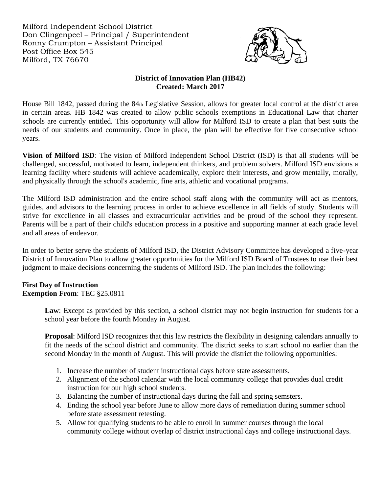Milford Independent School District Don Clingenpeel – Principal / Superintendent Ronny Crumpton – Assistant Principal Post Office Box 545 Milford, TX 76670



### **District of Innovation Plan (HB42) Created: March 2017**

House Bill 1842, passed during the 84th Legislative Session, allows for greater local control at the district area in certain areas. HB 1842 was created to allow public schools exemptions in Educational Law that charter schools are currently entitled. This opportunity will allow for Milford ISD to create a plan that best suits the needs of our students and community. Once in place, the plan will be effective for five consecutive school years.

**Vision of Milford ISD**: The vision of Milford Independent School District (ISD) is that all students will be challenged, successful, motivated to learn, independent thinkers, and problem solvers. Milford ISD envisions a learning facility where students will achieve academically, explore their interests, and grow mentally, morally, and physically through the school's academic, fine arts, athletic and vocational programs.

The Milford ISD administration and the entire school staff along with the community will act as mentors, guides, and advisors to the learning process in order to achieve excellence in all fields of study. Students will strive for excellence in all classes and extracurricular activities and be proud of the school they represent. Parents will be a part of their child's education process in a positive and supporting manner at each grade level and all areas of endeavor.

In order to better serve the students of Milford ISD, the District Advisory Committee has developed a five-year District of Innovation Plan to allow greater opportunities for the Milford ISD Board of Trustees to use their best judgment to make decisions concerning the students of Milford ISD. The plan includes the following:

# **First Day of Instruction**

**Exemption From**: TEC §25.0811

Law: Except as provided by this section, a school district may not begin instruction for students for a school year before the fourth Monday in August.

**Proposal**: Milford ISD recognizes that this law restricts the flexibility in designing calendars annually to fit the needs of the school district and community. The district seeks to start school no earlier than the second Monday in the month of August. This will provide the district the following opportunities:

- 1. Increase the number of student instructional days before state assessments.
- 2. Alignment of the school calendar with the local community college that provides dual credit instruction for our high school students.
- 3. Balancing the number of instructional days during the fall and spring semsters.
- 4. Ending the school year before June to allow more days of remediation during summer school before state assessment retesting.
- 5. Allow for qualifying students to be able to enroll in summer courses through the local community college without overlap of district instructional days and college instructional days.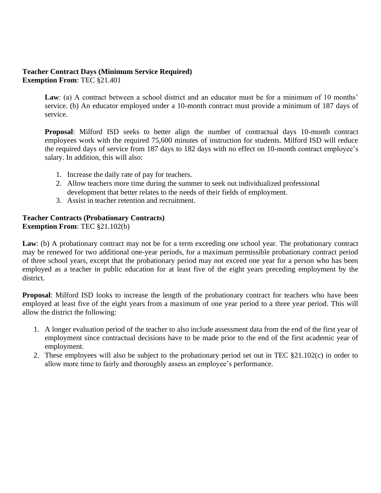#### **Teacher Contract Days (Minimum Service Required) Exemption From**: TEC §21.401

**Law**: (a) A contract between a school district and an educator must be for a minimum of 10 months' service. (b) An educator employed under a 10-month contract must provide a minimum of 187 days of service.

**Proposal**: Milford ISD seeks to better align the number of contractual days 10-month contract employees work with the required 75,600 minutes of instruction for students. Milford ISD will reduce the required days of service from 187 days to 182 days with no effect on 10-month contract employee's salary. In addition, this will also:

- 1. Increase the daily rate of pay for teachers.
- 2. Allow teachers more time during the summer to seek out individualized professional development that better relates to the needs of their fields of employment.
- 3. Assist in teacher retention and recruitment.

## **Teacher Contracts (Probationary Contracts)**

**Exemption From**: TEC §21.102(b)

Law: (b) A probationary contract may not be for a term exceeding one school year. The probationary contract may be renewed for two additional one-year periods, for a maximum permissible probationary contract period of three school years, except that the probationary period may not exceed one year for a person who has been employed as a teacher in public education for at least five of the eight years preceding employment by the district.

**Proposal**: Milford ISD looks to increase the length of the probationary contract for teachers who have been employed at least five of the eight years from a maximum of one year period to a three year period. This will allow the district the following:

- 1. A longer evaluation period of the teacher to also include assessment data from the end of the first year of employment since contractual decisions have to be made prior to the end of the first academic year of employment.
- 2. These employees will also be subject to the probationary period set out in TEC §21.102(c) in order to allow more time to fairly and thoroughly assess an employee's performance.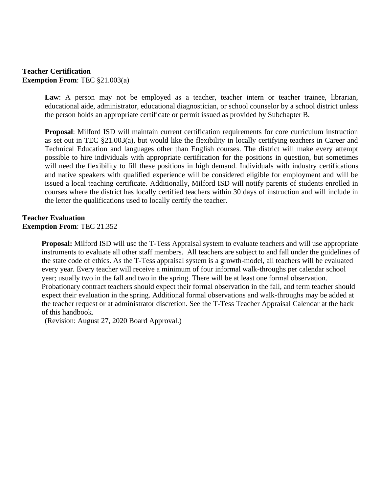#### **Teacher Certification Exemption From**: TEC §21.003(a)

Law: A person may not be employed as a teacher, teacher intern or teacher trainee, librarian, educational aide, administrator, educational diagnostician, or school counselor by a school district unless the person holds an appropriate certificate or permit issued as provided by Subchapter B.

**Proposal**: Milford ISD will maintain current certification requirements for core curriculum instruction as set out in TEC §21.003(a), but would like the flexibility in locally certifying teachers in Career and Technical Education and languages other than English courses. The district will make every attempt possible to hire individuals with appropriate certification for the positions in question, but sometimes will need the flexibility to fill these positions in high demand. Individuals with industry certifications and native speakers with qualified experience will be considered eligible for employment and will be issued a local teaching certificate. Additionally, Milford ISD will notify parents of students enrolled in courses where the district has locally certified teachers within 30 days of instruction and will include in the letter the qualifications used to locally certify the teacher.

## **Teacher Evaluation Exemption From**: TEC 21.352

**Proposal:** Milford ISD will use the T-Tess Appraisal system to evaluate teachers and will use appropriate instruments to evaluate all other staff members. All teachers are subject to and fall under the guidelines of the state code of ethics. As the T-Tess appraisal system is a growth-model, all teachers will be evaluated every year. Every teacher will receive a minimum of four informal walk-throughs per calendar school year; usually two in the fall and two in the spring. There will be at least one formal observation. Probationary contract teachers should expect their formal observation in the fall, and term teacher should expect their evaluation in the spring. Additional formal observations and walk-throughs may be added at the teacher request or at administrator discretion. See the T-Tess Teacher Appraisal Calendar at the back of this handbook.

(Revision: August 27, 2020 Board Approval.)